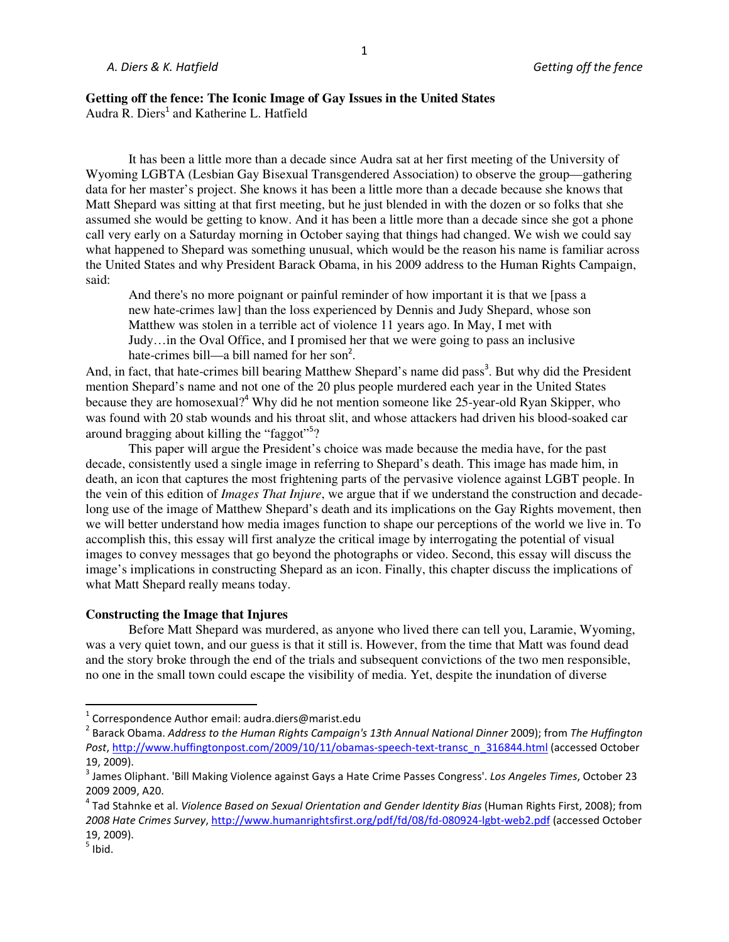# **Getting off the fence: The Iconic Image of Gay Issues in the United States** Audra R. Diers<sup>1</sup> and Katherine L. Hatfield

 It has been a little more than a decade since Audra sat at her first meeting of the University of Wyoming LGBTA (Lesbian Gay Bisexual Transgendered Association) to observe the group—gathering data for her master's project. She knows it has been a little more than a decade because she knows that Matt Shepard was sitting at that first meeting, but he just blended in with the dozen or so folks that she assumed she would be getting to know. And it has been a little more than a decade since she got a phone call very early on a Saturday morning in October saying that things had changed. We wish we could say what happened to Shepard was something unusual, which would be the reason his name is familiar across the United States and why President Barack Obama, in his 2009 address to the Human Rights Campaign, said:

And there's no more poignant or painful reminder of how important it is that we [pass a new hate-crimes law] than the loss experienced by Dennis and Judy Shepard, whose son Matthew was stolen in a terrible act of violence 11 years ago. In May, I met with Judy…in the Oval Office, and I promised her that we were going to pass an inclusive hate-crimes bill—a bill named for her son<sup>2</sup>.

And, in fact, that hate-crimes bill bearing Matthew Shepard's name did pass<sup>3</sup>. But why did the President mention Shepard's name and not one of the 20 plus people murdered each year in the United States because they are homosexual?<sup>4</sup> Why did he not mention someone like 25-year-old Ryan Skipper, who was found with 20 stab wounds and his throat slit, and whose attackers had driven his blood-soaked car around bragging about killing the "faggot"<sup>5</sup>?

 This paper will argue the President's choice was made because the media have, for the past decade, consistently used a single image in referring to Shepard's death. This image has made him, in death, an icon that captures the most frightening parts of the pervasive violence against LGBT people. In the vein of this edition of *Images That Injure*, we argue that if we understand the construction and decadelong use of the image of Matthew Shepard's death and its implications on the Gay Rights movement, then we will better understand how media images function to shape our perceptions of the world we live in. To accomplish this, this essay will first analyze the critical image by interrogating the potential of visual images to convey messages that go beyond the photographs or video. Second, this essay will discuss the image's implications in constructing Shepard as an icon. Finally, this chapter discuss the implications of what Matt Shepard really means today.

# **Constructing the Image that Injures**

Before Matt Shepard was murdered, as anyone who lived there can tell you, Laramie, Wyoming, was a very quiet town, and our guess is that it still is. However, from the time that Matt was found dead and the story broke through the end of the trials and subsequent convictions of the two men responsible, no one in the small town could escape the visibility of media. Yet, despite the inundation of diverse

-

 $1$  Correspondence Author email: audra.diers@marist.edu

<sup>2</sup> Barack Obama. *Address to the Human Rights Campaign's 13th Annual National Dinner* 2009); from *The Huffington Post*, http://www.huffingtonpost.com/2009/10/11/obamas-speech-text-transc\_n\_316844.html (accessed October 19, 2009).

<sup>3</sup> James Oliphant. 'Bill Making Violence against Gays a Hate Crime Passes Congress'. *Los Angeles Times*, October 23 2009 2009, A20.

<sup>&</sup>lt;sup>4</sup> Tad Stahnke et al. *Violence Based on Sexual Orientation and Gender Identity Bias* (Human Rights First, 2008); from *2008 Hate Crimes Survey*, http://www.humanrightsfirst.org/pdf/fd/08/fd-080924-lgbt-web2.pdf (accessed October 19, 2009).

 $<sup>5</sup>$  Ibid.</sup>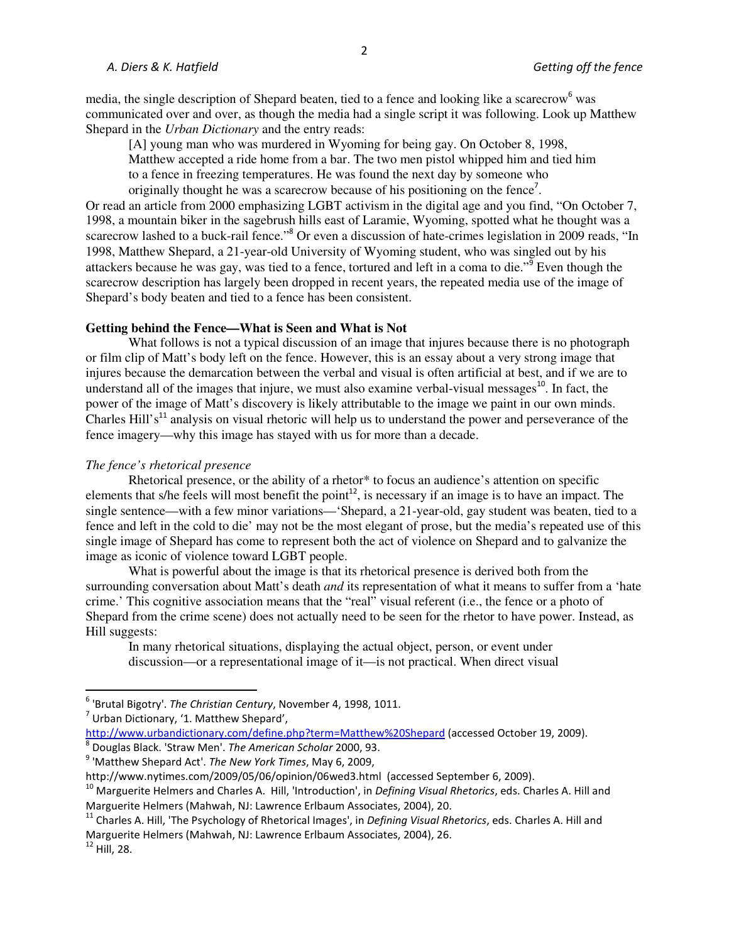## *A. Diers & K. Hatfield Getting off the fence*

media, the single description of Shepard beaten, tied to a fence and looking like a scarecrow<sup>6</sup> was communicated over and over, as though the media had a single script it was following. Look up Matthew Shepard in the *Urban Dictionary* and the entry reads:

[A] young man who was murdered in Wyoming for being gay. On October 8, 1998, Matthew accepted a ride home from a bar. The two men pistol whipped him and tied him to a fence in freezing temperatures. He was found the next day by someone who originally thought he was a scarecrow because of his positioning on the fence<sup>7</sup>.

Or read an article from 2000 emphasizing LGBT activism in the digital age and you find, "On October 7, 1998, a mountain biker in the sagebrush hills east of Laramie, Wyoming, spotted what he thought was a scarecrow lashed to a buck-rail fence."<sup>8</sup> Or even a discussion of hate-crimes legislation in 2009 reads, "In 1998, Matthew Shepard, a 21-year-old University of Wyoming student, who was singled out by his attackers because he was gay, was tied to a fence, tortured and left in a coma to die."<sup>9</sup> Even though the scarecrow description has largely been dropped in recent years, the repeated media use of the image of Shepard's body beaten and tied to a fence has been consistent.

## **Getting behind the Fence—What is Seen and What is Not**

What follows is not a typical discussion of an image that injures because there is no photograph or film clip of Matt's body left on the fence. However, this is an essay about a very strong image that injures because the demarcation between the verbal and visual is often artificial at best, and if we are to understand all of the images that injure, we must also examine verbal-visual messages<sup>10</sup>. In fact, the power of the image of Matt's discovery is likely attributable to the image we paint in our own minds. Charles Hill's<sup>11</sup> analysis on visual rhetoric will help us to understand the power and perseverance of the fence imagery—why this image has stayed with us for more than a decade.

### *The fence's rhetorical presence*

Rhetorical presence, or the ability of a rhetor\* to focus an audience's attention on specific elements that s/he feels will most benefit the point<sup>12</sup>, is necessary if an image is to have an impact. The single sentence—with a few minor variations—'Shepard, a 21-year-old, gay student was beaten, tied to a fence and left in the cold to die' may not be the most elegant of prose, but the media's repeated use of this single image of Shepard has come to represent both the act of violence on Shepard and to galvanize the image as iconic of violence toward LGBT people.

What is powerful about the image is that its rhetorical presence is derived both from the surrounding conversation about Matt's death *and* its representation of what it means to suffer from a 'hate crime.' This cognitive association means that the "real" visual referent (i.e., the fence or a photo of Shepard from the crime scene) does not actually need to be seen for the rhetor to have power. Instead, as Hill suggests:

In many rhetorical situations, displaying the actual object, person, or event under discussion—or a representational image of it—is not practical. When direct visual

<u>.</u>

<sup>6</sup> 'Brutal Bigotry'. *The Christian Century*, November 4, 1998, 1011.

 $^7$  Urban Dictionary, '1. Matthew Shepard',

http://www.urbandictionary.com/define.php?term=Matthew%20Shepard (accessed October 19, 2009). 8 Douglas Black. 'Straw Men'. *The American Scholar* 2000, 93.

<sup>9</sup> 'Matthew Shepard Act'. *The New York Times*, May 6, 2009,

http://www.nytimes.com/2009/05/06/opinion/06wed3.html (accessed September 6, 2009).

<sup>10</sup> Marguerite Helmers and Charles A. Hill, 'Introduction', in *Defining Visual Rhetorics*, eds. Charles A. Hill and Marguerite Helmers (Mahwah, NJ: Lawrence Erlbaum Associates, 2004), 20.

<sup>11</sup> Charles A. Hill, 'The Psychology of Rhetorical Images', in *Defining Visual Rhetorics*, eds. Charles A. Hill and Marguerite Helmers (Mahwah, NJ: Lawrence Erlbaum Associates, 2004), 26.

 $12$  Hill, 28.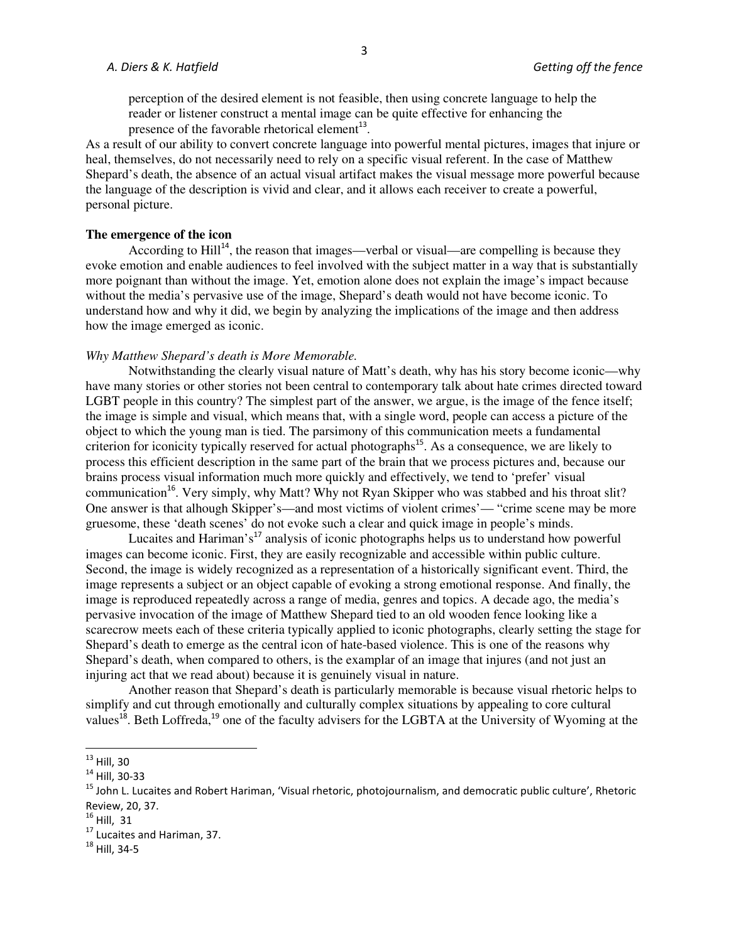perception of the desired element is not feasible, then using concrete language to help the reader or listener construct a mental image can be quite effective for enhancing the presence of the favorable rhetorical element $^{13}$ .

As a result of our ability to convert concrete language into powerful mental pictures, images that injure or heal, themselves, do not necessarily need to rely on a specific visual referent. In the case of Matthew Shepard's death, the absence of an actual visual artifact makes the visual message more powerful because the language of the description is vivid and clear, and it allows each receiver to create a powerful, personal picture.

# **The emergence of the icon**

According to  $Hill<sup>14</sup>$ , the reason that images—verbal or visual—are compelling is because they evoke emotion and enable audiences to feel involved with the subject matter in a way that is substantially more poignant than without the image. Yet, emotion alone does not explain the image's impact because without the media's pervasive use of the image, Shepard's death would not have become iconic. To understand how and why it did, we begin by analyzing the implications of the image and then address how the image emerged as iconic.

### *Why Matthew Shepard's death is More Memorable.*

Notwithstanding the clearly visual nature of Matt's death, why has his story become iconic—why have many stories or other stories not been central to contemporary talk about hate crimes directed toward LGBT people in this country? The simplest part of the answer, we argue, is the image of the fence itself; the image is simple and visual, which means that, with a single word, people can access a picture of the object to which the young man is tied. The parsimony of this communication meets a fundamental criterion for iconicity typically reserved for actual photographs<sup>15</sup>. As a consequence, we are likely to process this efficient description in the same part of the brain that we process pictures and, because our brains process visual information much more quickly and effectively, we tend to 'prefer' visual communication<sup>16</sup>. Very simply, why Matt? Why not Ryan Skipper who was stabbed and his throat slit? One answer is that alhough Skipper's—and most victims of violent crimes'— "crime scene may be more gruesome, these 'death scenes' do not evoke such a clear and quick image in people's minds.

Lucaites and Hariman's<sup>17</sup> analysis of iconic photographs helps us to understand how powerful images can become iconic. First, they are easily recognizable and accessible within public culture. Second, the image is widely recognized as a representation of a historically significant event. Third, the image represents a subject or an object capable of evoking a strong emotional response. And finally, the image is reproduced repeatedly across a range of media, genres and topics. A decade ago, the media's pervasive invocation of the image of Matthew Shepard tied to an old wooden fence looking like a scarecrow meets each of these criteria typically applied to iconic photographs, clearly setting the stage for Shepard's death to emerge as the central icon of hate-based violence. This is one of the reasons why Shepard's death, when compared to others, is the examplar of an image that injures (and not just an injuring act that we read about) because it is genuinely visual in nature.

Another reason that Shepard's death is particularly memorable is because visual rhetoric helps to simplify and cut through emotionally and culturally complex situations by appealing to core cultural values<sup>18</sup>. Beth Loffreda,<sup>19</sup> one of the faculty advisers for the LGBTA at the University of Wyoming at the

<u>.</u>

 $^{13}$  Hill, 30

<sup>14</sup> Hill, 30-33

<sup>&</sup>lt;sup>15</sup> John L. Lucaites and Robert Hariman, 'Visual rhetoric, photojournalism, and democratic public culture', Rhetoric Review, 20, 37.

 $^{16}$  Hill, 31

<sup>&</sup>lt;sup>17</sup> Lucaites and Hariman, 37.

<sup>18</sup> Hill, 34-5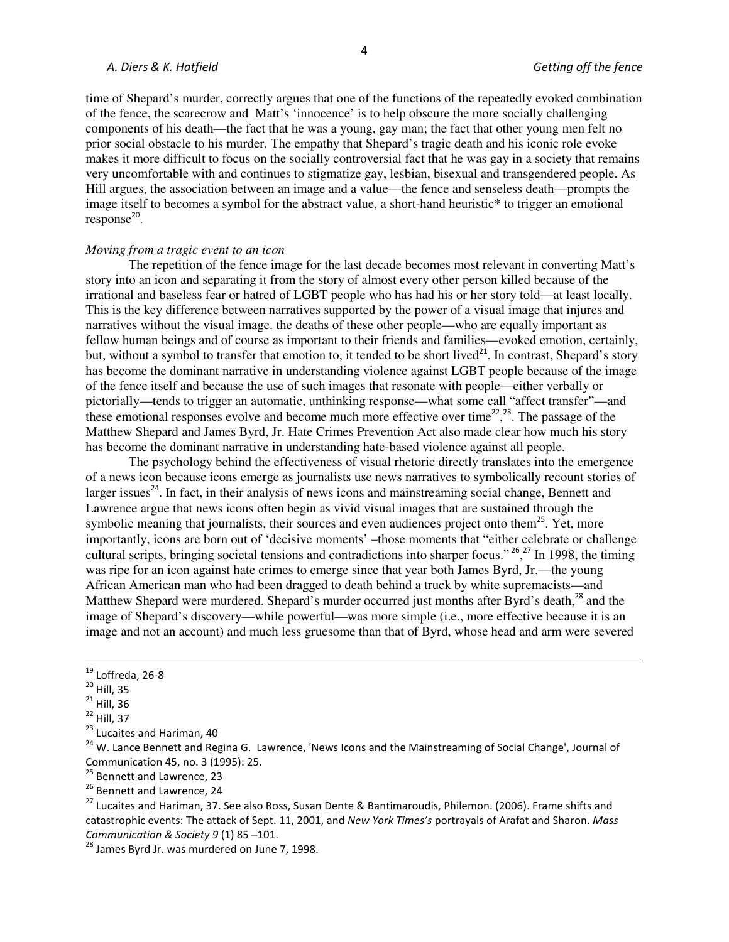### *A. Diers & K. Hatfield Getting off the fence*

time of Shepard's murder, correctly argues that one of the functions of the repeatedly evoked combination of the fence, the scarecrow and Matt's 'innocence' is to help obscure the more socially challenging components of his death—the fact that he was a young, gay man; the fact that other young men felt no prior social obstacle to his murder. The empathy that Shepard's tragic death and his iconic role evoke makes it more difficult to focus on the socially controversial fact that he was gay in a society that remains very uncomfortable with and continues to stigmatize gay, lesbian, bisexual and transgendered people. As Hill argues, the association between an image and a value—the fence and senseless death—prompts the image itself to becomes a symbol for the abstract value, a short-hand heuristic\* to trigger an emotional  $response<sup>20</sup>$ .

## *Moving from a tragic event to an icon*

The repetition of the fence image for the last decade becomes most relevant in converting Matt's story into an icon and separating it from the story of almost every other person killed because of the irrational and baseless fear or hatred of LGBT people who has had his or her story told—at least locally. This is the key difference between narratives supported by the power of a visual image that injures and narratives without the visual image. the deaths of these other people—who are equally important as fellow human beings and of course as important to their friends and families—evoked emotion, certainly, but, without a symbol to transfer that emotion to, it tended to be short lived<sup>21</sup>. In contrast, Shepard's story has become the dominant narrative in understanding violence against LGBT people because of the image of the fence itself and because the use of such images that resonate with people—either verbally or pictorially—tends to trigger an automatic, unthinking response—what some call "affect transfer"—and these emotional responses evolve and become much more effective over time<sup>22</sup>,<sup>23</sup>. The passage of the Matthew Shepard and James Byrd, Jr. Hate Crimes Prevention Act also made clear how much his story has become the dominant narrative in understanding hate-based violence against all people.

The psychology behind the effectiveness of visual rhetoric directly translates into the emergence of a news icon because icons emerge as journalists use news narratives to symbolically recount stories of larger issues<sup>24</sup>. In fact, in their analysis of news icons and mainstreaming social change, Bennett and Lawrence argue that news icons often begin as vivid visual images that are sustained through the symbolic meaning that journalists, their sources and even audiences project onto them<sup>25</sup>. Yet, more importantly, icons are born out of 'decisive moments' –those moments that "either celebrate or challenge cultural scripts, bringing societal tensions and contradictions into sharper focus."<sup>26</sup>,<sup>27</sup> In 1998, the timing was ripe for an icon against hate crimes to emerge since that year both James Byrd, Jr.—the young African American man who had been dragged to death behind a truck by white supremacists—and Matthew Shepard were murdered. Shepard's murder occurred just months after Byrd's death,<sup>28</sup> and the image of Shepard's discovery—while powerful—was more simple (i.e., more effective because it is an image and not an account) and much less gruesome than that of Byrd, whose head and arm were severed

<u>.</u>

<sup>24</sup> W. Lance Bennett and Regina G. Lawrence, 'News Icons and the Mainstreaming of Social Change', Journal of Communication 45, no. 3 (1995): 25.

<sup>25</sup> Bennett and Lawrence, 23

<sup>26</sup> Bennett and Lawrence, 24

<sup>27</sup> Lucaites and Hariman, 37. See also Ross, Susan Dente & Bantimaroudis, Philemon. (2006). Frame shifts and catastrophic events: The attack of Sept. 11, 2001, and *New York Times's* portrayals of Arafat and Sharon. *Mass Communication & Society 9* (1) 85 –101.

 $19$  Loffreda, 26-8

 $20$  Hill, 35

 $21$  Hill, 36

 $22$  Hill, 37

<sup>&</sup>lt;sup>23</sup> Lucaites and Hariman, 40

<sup>&</sup>lt;sup>28</sup> James Byrd Jr. was murdered on June 7, 1998.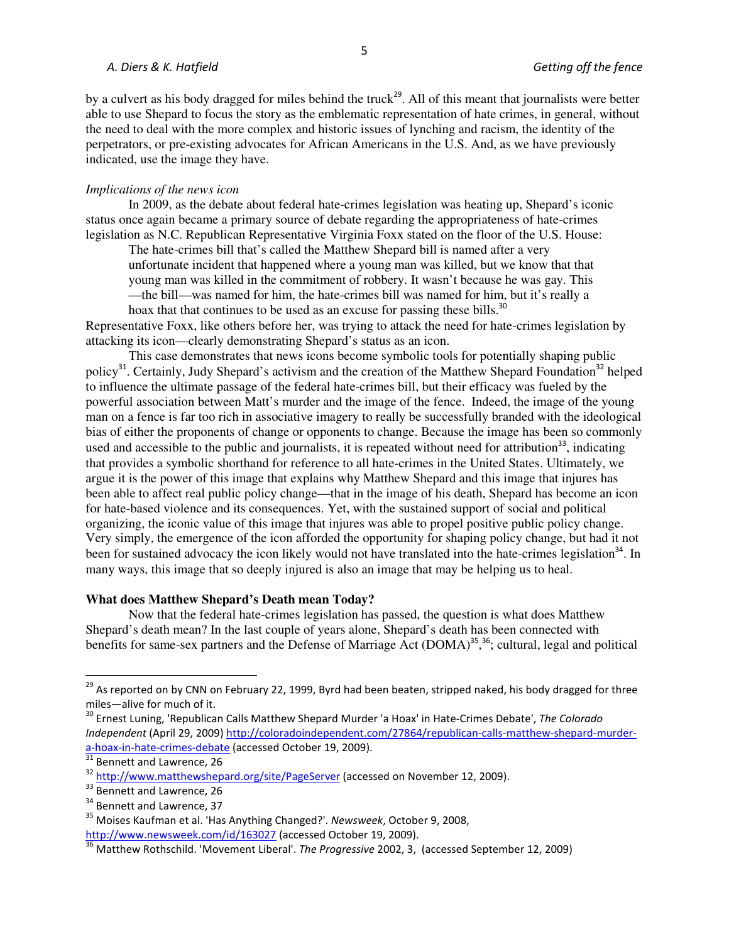### *A. Diers & K. Hatfield Getting off the fence*

by a culvert as his body dragged for miles behind the truck<sup>29</sup>. All of this meant that journalists were better able to use Shepard to focus the story as the emblematic representation of hate crimes, in general, without the need to deal with the more complex and historic issues of lynching and racism, the identity of the perpetrators, or pre-existing advocates for African Americans in the U.S. And, as we have previously indicated, use the image they have.

## *Implications of the news icon*

 In 2009, as the debate about federal hate-crimes legislation was heating up, Shepard's iconic status once again became a primary source of debate regarding the appropriateness of hate-crimes legislation as N.C. Republican Representative Virginia Foxx stated on the floor of the U.S. House:

The hate-crimes bill that's called the Matthew Shepard bill is named after a very unfortunate incident that happened where a young man was killed, but we know that that young man was killed in the commitment of robbery. It wasn't because he was gay. This —the bill—was named for him, the hate-crimes bill was named for him, but it's really a

hoax that that continues to be used as an excuse for passing these bills.<sup>30</sup>

Representative Foxx, like others before her, was trying to attack the need for hate-crimes legislation by attacking its icon—clearly demonstrating Shepard's status as an icon.

 This case demonstrates that news icons become symbolic tools for potentially shaping public policy<sup>31</sup>. Certainly, Judy Shepard's activism and the creation of the Matthew Shepard Foundation<sup>32</sup> helped to influence the ultimate passage of the federal hate-crimes bill, but their efficacy was fueled by the powerful association between Matt's murder and the image of the fence. Indeed, the image of the young man on a fence is far too rich in associative imagery to really be successfully branded with the ideological bias of either the proponents of change or opponents to change. Because the image has been so commonly used and accessible to the public and journalists, it is repeated without need for attribution<sup>33</sup>, indicating that provides a symbolic shorthand for reference to all hate-crimes in the United States. Ultimately, we argue it is the power of this image that explains why Matthew Shepard and this image that injures has been able to affect real public policy change—that in the image of his death, Shepard has become an icon for hate-based violence and its consequences. Yet, with the sustained support of social and political organizing, the iconic value of this image that injures was able to propel positive public policy change. Very simply, the emergence of the icon afforded the opportunity for shaping policy change, but had it not been for sustained advocacy the icon likely would not have translated into the hate-crimes legislation<sup>34</sup>. In many ways, this image that so deeply injured is also an image that may be helping us to heal.

#### **What does Matthew Shepard's Death mean Today?**

 Now that the federal hate-crimes legislation has passed, the question is what does Matthew Shepard's death mean? In the last couple of years alone, Shepard's death has been connected with benefits for same-sex partners and the Defense of Marriage Act (DOMA)<sup>35, 36</sup>; cultural, legal and political

 $\overline{\phantom{0}}$ 

 $^{29}$  As reported on by CNN on February 22, 1999, Byrd had been beaten, stripped naked, his body dragged for three miles—alive for much of it.

<sup>30</sup> Ernest Luning, 'Republican Calls Matthew Shepard Murder 'a Hoax' in Hate-Crimes Debate', *The Colorado Independent* (April 29, 2009) http://coloradoindependent.com/27864/republican-calls-matthew-shepard-murdera-hoax-in-hate-crimes-debate (accessed October 19, 2009).

 $31$  Bennett and Lawrence, 26

<sup>&</sup>lt;sup>32</sup> http://www.matthewshepard.org/site/PageServer (accessed on November 12, 2009).

<sup>&</sup>lt;sup>33</sup> Bennett and Lawrence, 26

<sup>&</sup>lt;sup>34</sup> Bennett and Lawrence, 37

<sup>35</sup> Moises Kaufman et al. 'Has Anything Changed?'. *Newsweek*, October 9, 2008, http://www.newsweek.com/id/163027 (accessed October 19, 2009).

<sup>36</sup> Matthew Rothschild. 'Movement Liberal'. *The Progressive* 2002, 3, (accessed September 12, 2009)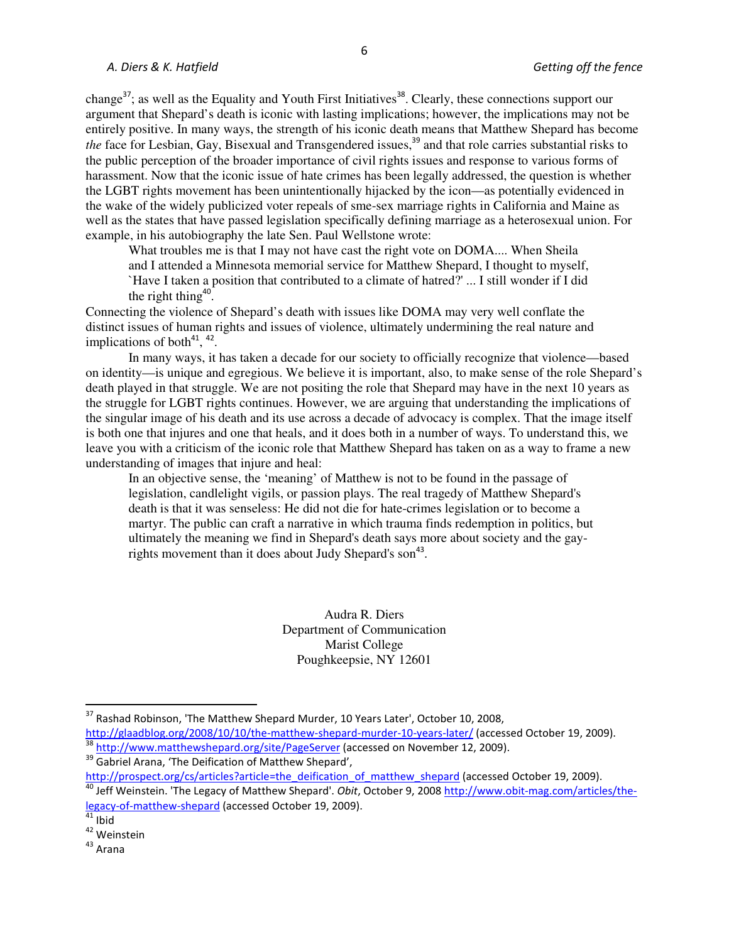change<sup>37</sup>; as well as the Equality and Youth First Initiatives<sup>38</sup>. Clearly, these connections support our argument that Shepard's death is iconic with lasting implications; however, the implications may not be entirely positive. In many ways, the strength of his iconic death means that Matthew Shepard has become *the* face for Lesbian, Gay, Bisexual and Transgendered issues,<sup>39</sup> and that role carries substantial risks to the public perception of the broader importance of civil rights issues and response to various forms of harassment. Now that the iconic issue of hate crimes has been legally addressed, the question is whether the LGBT rights movement has been unintentionally hijacked by the icon—as potentially evidenced in the wake of the widely publicized voter repeals of sme-sex marriage rights in California and Maine as well as the states that have passed legislation specifically defining marriage as a heterosexual union. For example, in his autobiography the late Sen. Paul Wellstone wrote:

What troubles me is that I may not have cast the right vote on DOMA.... When Sheila and I attended a Minnesota memorial service for Matthew Shepard, I thought to myself, `Have I taken a position that contributed to a climate of hatred?' ... I still wonder if I did the right thing<sup>40</sup>.

Connecting the violence of Shepard's death with issues like DOMA may very well conflate the distinct issues of human rights and issues of violence, ultimately undermining the real nature and implications of both $41$ ,  $42$ .

In many ways, it has taken a decade for our society to officially recognize that violence—based on identity—is unique and egregious. We believe it is important, also, to make sense of the role Shepard's death played in that struggle. We are not positing the role that Shepard may have in the next 10 years as the struggle for LGBT rights continues. However, we are arguing that understanding the implications of the singular image of his death and its use across a decade of advocacy is complex. That the image itself is both one that injures and one that heals, and it does both in a number of ways. To understand this, we leave you with a criticism of the iconic role that Matthew Shepard has taken on as a way to frame a new understanding of images that injure and heal:

In an objective sense, the 'meaning' of Matthew is not to be found in the passage of legislation, candlelight vigils, or passion plays. The real tragedy of Matthew Shepard's death is that it was senseless: He did not die for hate-crimes legislation or to become a martyr. The public can craft a narrative in which trauma finds redemption in politics, but ultimately the meaning we find in Shepard's death says more about society and the gayrights movement than it does about Judy Shepard's son<sup>43</sup>.

> Audra R. Diers Department of Communication Marist College Poughkeepsie, NY 12601

<sup>38</sup> http://www.matthewshepard.org/site/PageServer (accessed on November 12, 2009).

<sup>39</sup> Gabriel Arana, 'The Deification of Matthew Shepard', http://prospect.org/cs/articles?article=the\_deification\_of\_matthew\_shepard (accessed October 19, 2009).

-

<sup>&</sup>lt;sup>37</sup> Rashad Robinson, 'The Matthew Shepard Murder, 10 Years Later', October 10, 2008,

http://glaadblog.org/2008/10/10/the-matthew-shepard-murder-10-years-later/ (accessed October 19, 2009).

<sup>40</sup> Jeff Weinstein. 'The Legacy of Matthew Shepard'. *Obit*, October 9, 2008 http://www.obit-mag.com/articles/thelegacy-of-matthew-shepard (accessed October 19, 2009).

 $41$  Ibid

<sup>42</sup> Weinstein

 $43$  Arana